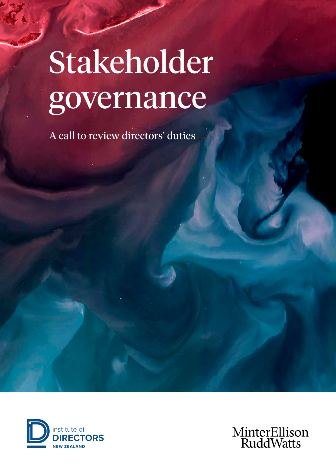# Stakeholder governance

A call to review directors' duties



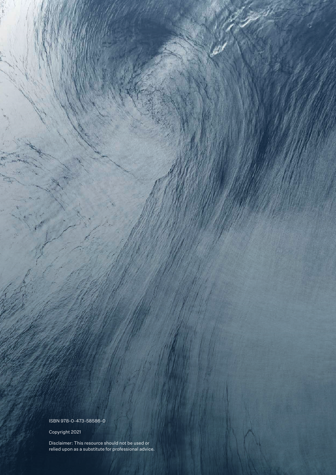ISBN 978-0-473-58586-0

Copyright 2021

Disclaimer: This resource should not be used or relied upon as a substitute for professional advice.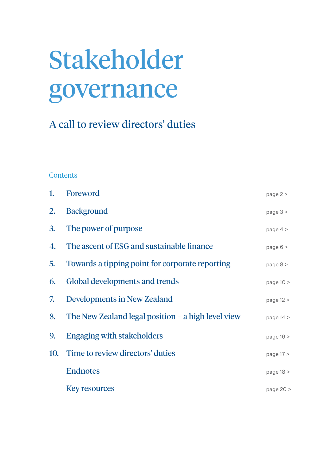# <span id="page-2-0"></span>Stakeholder governance

### A call to review directors' duties

### **Contents**

| 1.  | Foreword                                             | page $2 >$  |
|-----|------------------------------------------------------|-------------|
| 2.  | <b>Background</b>                                    | page $3 >$  |
| 3.  | The power of purpose                                 | page 4 >    |
| 4.  | The ascent of ESG and sustainable finance            | page 6 >    |
| 5.  | Towards a tipping point for corporate reporting      | page $8 >$  |
| 6.  | Global developments and trends                       | page $10 >$ |
| 7.  | <b>Developments in New Zealand</b>                   | page $12 >$ |
| 8.  | The New Zealand legal position $-$ a high level view | page $14 >$ |
| 9.  | <b>Engaging with stakeholders</b>                    | page 16 >   |
| 10. | Time to review directors' duties                     | page $17 >$ |
|     | <b>Endnotes</b>                                      | page $18 >$ |
|     | <b>Key resources</b>                                 | page 20 >   |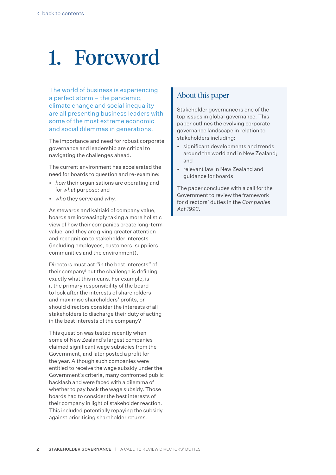## <span id="page-3-0"></span>1. Foreword

The world of business is experiencing a perfect storm – the pandemic, climate change and social inequality are all presenting business leaders with some of the most extreme economic and social dilemmas in generations.

The importance and need for robust corporate governance and leadership are critical to navigating the challenges ahead.

The current environment has accelerated the need for boards to question and re-examine:

- • *how* their organisations are operating and for *what* purpose; and
- • *who* they serve and *why.*

As stewards and kaitiaki of company value, boards are increasingly taking a more holistic view of how their companies create long-term value, and they are giving greater attention and recognition to stakeholder interests (including employees, customers, suppliers, communities and the environment).

Directors must act "in the best interests" of their company<sup>1</sup> but the challenge is defining exactly what this means. For example, is it the primary responsibility of the board to look after the interests of shareholders and maximise shareholders' profits, or should directors consider the interests of all stakeholders to discharge their duty of acting in the best interests of the company?

This question was tested recently when some of New Zealand's largest companies claimed significant wage subsidies from the Government, and later posted a profit for the year. Although such companies were entitled to receive the wage subsidy under the Government's criteria, many confronted public backlash and were faced with a dilemma of whether to pay back the wage subsidy. Those boards had to consider the best interests of their company in light of stakeholder reaction. This included potentially repaying the subsidy against prioritising shareholder returns.

### About this paper

Stakeholder governance is one of the top issues in global governance. This paper outlines the evolving corporate governance landscape in relation to stakeholders including:

- • significant developments and trends around the world and in New Zealand; and
- • relevant law in New Zealand and guidance for boards.

The paper concludes with a call for the Government to review the framework for directors' duties in the *Companies Act 1993*.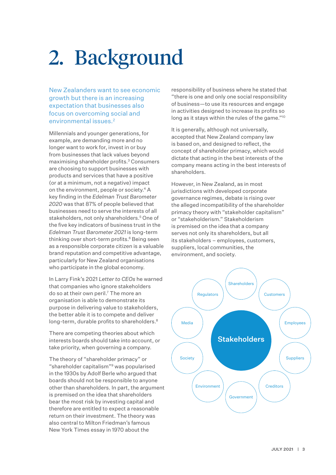# <span id="page-4-0"></span>2. Background

New Zealanders want to see economic growth but there is an increasing expectation that businesses also focus on overcoming social and environmental issues.2

Millennials and younger generations, for example, are demanding more and no longer want to work for, invest in or buy from businesses that lack values beyond maximising shareholder profits.3 Consumers are choosing to support businesses with products and services that have a positive (or at a minimum, not a negative) impact on the environment, people or society.4 A key finding in the *Edelman Trust Barometer 2020* was that 87% of people believed that businesses need to serve the interests of all stakeholders, not only shareholders.<sup>5</sup> One of the five key indicators of business trust in the *Edelman Trust Barometer 2021* is long-term thinking over short-term profits.<sup>6</sup> Being seen as a responsible corporate citizen is a valuable brand reputation and competitive advantage, particularly for New Zealand organisations who participate in the global economy.

In Larry Fink's 2021 *Letter to CEOs* he warned that companies who ignore stakeholders do so at their own peril.7 The more an organisation is able to demonstrate its purpose in delivering value to stakeholders, the better able it is to compete and deliver long-term, durable profits to shareholders.<sup>8</sup>

There are competing theories about which interests boards should take into account, or take priority, when governing a company.

The theory of "shareholder primacy" or "shareholder capitalism"9 was popularised in the 1930s by Adolf Berle who argued that boards should not be responsible to anyone other than shareholders. In part, the argument is premised on the idea that shareholders bear the most risk by investing capital and therefore are entitled to expect a reasonable return on their investment. The theory was also central to Milton Friedman's famous New York Times essay in 1970 about the

responsibility of business where he stated that "there is one and only one social responsibility of business—to use its resources and engage in activities designed to increase its profits so long as it stays within the rules of the game."10

It is generally, although not universally, accepted that New Zealand company law is based on, and designed to reflect, the concept of shareholder primacy, which would dictate that acting in the best interests of the company means acting in the best interests of shareholders.

However, in New Zealand, as in most jurisdictions with developed corporate governance regimes, debate is rising over the alleged incompatibility of the shareholder primacy theory with "stakeholder capitalism" or "stakeholderism." Stakeholderism is premised on the idea that a company serves not only its shareholders, but all its stakeholders – employees, customers, suppliers, local communities, the environment, and society.

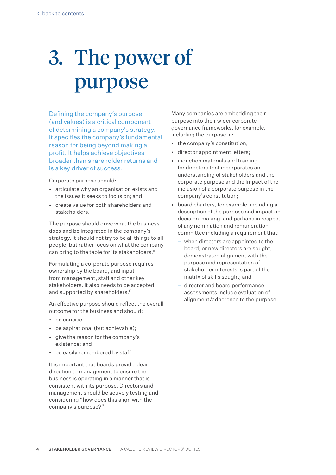# <span id="page-5-0"></span>3. The power of purpose

Defining the company's purpose (and values) is a critical component of determining a company's strategy. It specifies the company's fundamental reason for being beyond making a profit. It helps achieve objectives broader than shareholder returns and is a key driver of success.

Corporate purpose should:

- • articulate why an organisation exists and the issues it seeks to focus on; and
- • create value for both shareholders and stakeholders.

The purpose should drive what the business does and be integrated in the company's strategy. It should not try to be all things to all people, but rather focus on what the company can bring to the table for its stakeholders.<sup>11</sup>

Formulating a corporate purpose requires ownership by the board, and input from management, staff and other key stakeholders. It also needs to be accepted and supported by shareholders.<sup>12</sup>

An effective purpose should reflect the overall outcome for the business and should:

- be concise:
- be aspirational (but achievable);
- • give the reason for the company's existence; and
- • be easily remembered by staff.

It is important that boards provide clear direction to management to ensure the business is operating in a manner that is consistent with its purpose. Directors and management should be actively testing and considering "how does this align with the company's purpose?"

Many companies are embedding their purpose into their wider corporate governance frameworks, for example, including the purpose in:

- the company's constitution;
- • director appointment letters;
- induction materials and training for directors that incorporates an understanding of stakeholders and the corporate purpose and the impact of the inclusion of a corporate purpose in the company's constitution;
- • board charters, for example, including a description of the purpose and impact on decision-making, and perhaps in respect of any nomination and remuneration committee including a requirement that:
	- when directors are appointed to the board, or new directors are sought, demonstrated alignment with the purpose and representation of stakeholder interests is part of the matrix of skills sought; and
	- director and board performance assessments include evaluation of alignment/adherence to the purpose.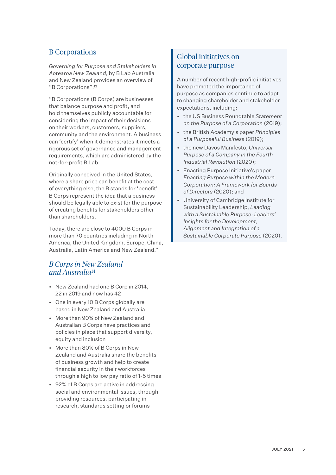### B Corporations

*Governing for Purpose and Stakeholders in Aotearoa New Zealand*, by B Lab Australia and New Zealand provides an overview of "B Corporations":13

"B Corporations (B Corps) are businesses that balance purpose and profit, and hold themselves publicly accountable for considering the impact of their decisions on their workers, customers, suppliers, community and the environment. A business can 'certify' when it demonstrates it meets a rigorous set of governance and management requirements, which are administered by the not-for-profit B Lab.

Originally conceived in the United States, where a share price can benefit at the cost of everything else, the B stands for 'benefit'. B Corps represent the idea that a business should be legally able to exist for the purpose of creating benefits for stakeholders other than shareholders.

Today, there are close to 4000 B Corps in more than 70 countries including in North America, the United Kingdom, Europe, China, Australia, Latin America and New Zealand."

### *B Corps in New Zealand and Australia*<sup>14</sup>

- • New Zealand had one B Corp in 2014, 22 in 2019 and now has 42
- • One in every 10 B Corps globally are based in New Zealand and Australia
- • More than 90% of New Zealand and Australian B Corps have practices and policies in place that support diversity, equity and inclusion
- • More than 80% of B Corps in New Zealand and Australia share the benefits of business growth and help to create financial security in their workforces through a high to low pay ratio of 1-5 times
- • 92% of B Corps are active in addressing social and environmental issues, through providing resources, participating in research, standards setting or forums

### Global initiatives on corporate purpose

A number of recent high-profile initiatives have promoted the importance of purpose as companies continue to adapt to changing shareholder and stakeholder expectations, including:

- • the US Business Roundtable *Statement on the Purpose of a Corporation* (2019);
- • the British Academy's paper *Principles of a Purposeful Business* (2019);
- • the new Davos Manifesto, *Universal Purpose of a Company in the Fourth Industrial Revolution* (2020);
- **Enacting Purpose Initiative's paper** *Enacting Purpose within the Modern Corporation: A Framework for Boards of Directors* (2020); and
- University of Cambridge Institute for Sustainability Leadership, *Leading with a sustainable purpose: Leaders' insights for the Development, alignment and integration of a sustainable corporate purpose* (2020).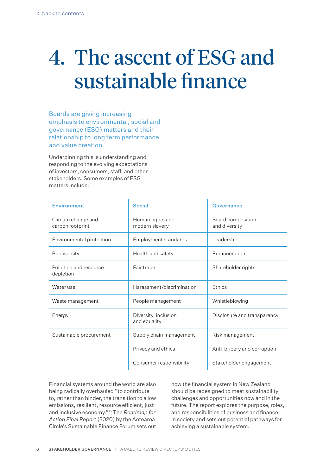### <span id="page-7-0"></span>4. The ascent of ESG and sustainable finance

Boards are giving increasing emphasis to environmental, social and governance (ESG) matters and their relationship to long term performance and value creation.

Underpinning this is understanding and responding to the evolving expectations of investors, consumers, staff, and other stakeholders. Some examples of ESG matters include:

| <b>Environment</b>                     | <b>Social</b>                        | Governance                         |
|----------------------------------------|--------------------------------------|------------------------------------|
| Climate change and<br>carbon footprint | Human rights and<br>modern slavery   | Board composition<br>and diversity |
| Environmental protection               | Employment standards                 | Leadership                         |
| Biodiversity                           | Health and safety                    | Remuneration                       |
| Pollution and resource<br>depletion    | Fair trade                           | Shareholder rights                 |
| Water use                              | Harassment/discrimination            | Ethics                             |
| Waste management                       | People management                    | Whistleblowing                     |
| Energy                                 | Diversity, inclusion<br>and equality | Disclosure and transparency        |
| Sustainable procurement                | Supply chain management              | Risk management                    |
|                                        | Privacy and ethics                   | Anti-bribery and corruption        |
|                                        | Consumer responsibility              | Stakeholder engagement             |

Financial systems around the world are also being radically overhauled "to contribute to, rather than hinder, the transition to a low emissions, resilient, resource efficient, just and inclusive economy."15 The *Roadmap for Action Final Report* (2020) by the Aotearoa Circle's Sustainable Finance Forum sets out

how the financial system in New Zealand should be redesigned to meet sustainability challenges and opportunities now and in the future. The report explores the purpose, roles, and responsibilities of business and finance in society and sets out potential pathways for achieving a sustainable system.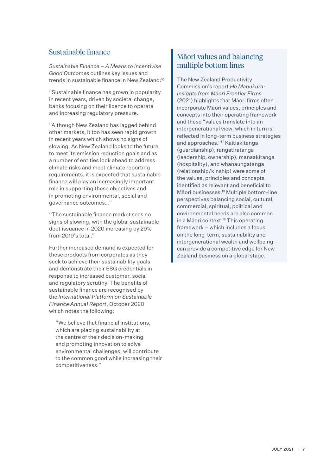### Sustainable finance

*Sustainable Finance – A Means to Incentivise Good Outcomes* outlines key issues and trends in sustainable finance in New Zealand:<sup>16</sup>

"Sustainable finance has grown in popularity in recent years, driven by societal change, banks focusing on their licence to operate and increasing regulatory pressure.

"Although New Zealand has lagged behind other markets, it too has seen rapid growth in recent years which shows no signs of slowing. As New Zealand looks to the future to meet its emission reduction goals and as a number of entities look ahead to address climate risks and meet climate reporting requirements, it is expected that sustainable finance will play an increasingly important role in supporting these objectives and in promoting environmental, social and governance outcomes…"

"The sustainable finance market sees no signs of slowing, with the global sustainable debt issuance in 2020 increasing by 29% from 2019's total."

Further increased demand is expected for these products from corporates as they seek to achieve their sustainability goals and demonstrate their ESG credentials in response to increased customer, social and regulatory scrutiny. The benefits of sustainable finance are recognised by the *International Platform on Sustainable Finance Annual Report*, October 2020 which notes the following:

 "We believe that financial institutions, which are placing sustainability at the centre of their decision-making and promoting innovation to solve environmental challenges, will contribute to the common good while increasing their competitiveness."

### Māori values and balancing multiple bottom lines

The New Zealand Productivity Commission's report *He Manukura: Insights from Māori Frontier Firms* (2021) highlights that Māori firms often incorporate Māori values, principles and concepts into their operating framework and these "values translate into an intergenerational view, which in turn is reflected in long-term business strategies and approaches."17 Kaitiakitanga (guardianship), rangatiratanga (leadership, ownership), manaakitanga (hospitality), and whanaungatanga (relationship/kinship) were some of the values, principles and concepts identified as relevant and beneficial to Māori businesses.18 Multiple bottom-line perspectives balancing social, cultural, commercial, spiritual, political and environmental needs are also common in a Māori context<sup>19</sup> This operating framework – which includes a focus on the long-term, sustainability and intergenerational wealth and wellbeing can provide a competitive edge for New Zealand business on a global stage.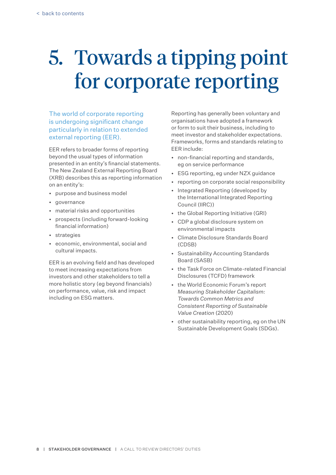### <span id="page-9-0"></span>5. Towards a tipping point for corporate reporting

The world of corporate reporting is undergoing significant change particularly in relation to extended external reporting (EER).

EER refers to broader forms of reporting beyond the usual types of information presented in an entity's financial statements. The New Zealand External Reporting Board (XRB) describes this as reporting information on an entity's:

- • purpose and business model
- • governance
- • material risks and opportunities
- • prospects (including forward-looking financial information)
- • strategies
- • economic, environmental, social and cultural impacts.

EER is an evolving field and has developed to meet increasing expectations from investors and other stakeholders to tell a more holistic story (eg beyond financials) on performance, value, risk and impact including on ESG matters.

Reporting has generally been voluntary and organisations have adopted a framework or form to suit their business, including to meet investor and stakeholder expectations. Frameworks, forms and standards relating to EER include:

- • non-financial reporting and standards, eg on service performance
- • ESG reporting, eg under NZX guidance
- • reporting on corporate social responsibility
- Integrated Reporting (developed by the International Integrated Reporting Council (IIRC))
- • the Global Reporting Initiative (GRI)
- • CDP a global disclosure system on environmental impacts
- • Climate Disclosure Standards Board (CDSB)
- • Sustainability Accounting Standards Board (SASB)
- • the Task Force on Climate-related Financial Disclosures (TCFD) framework
- • the World Economic Forum's report *Measuring Stakeholder Capitalism: Towards Common Metrics and Consistent Reporting of Sustainable Value Creation* (2020)
- • other sustainability reporting, eg on the UN Sustainable Development Goals (SDGs).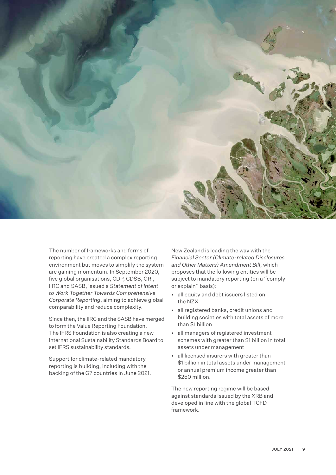

The number of frameworks and forms of reporting have created a complex reporting environment but moves to simplify the system are gaining momentum. In September 2020, five global organisations, CDP, CDSB, GRI, IIRC and SASB, issued a *Statement of Intent to Work Together Towards Comprehensive Corporate Reporting*, aiming to achieve global comparability and reduce complexity.

Since then, the IIRC and the SASB have merged to form the Value Reporting Foundation. The IFRS Foundation is also creating a new International Sustainability Standards Board to set IFRS sustainability standards.

Support for climate-related mandatory reporting is building, including with the backing of the G7 countries in June 2021.

New Zealand is leading the way with the *Financial Sector (Climate-related Disclosures and Other Matters) Amendment Bill*, which proposes that the following entities will be subject to mandatory reporting (on a "comply or explain" basis):

- • all equity and debt issuers listed on the NZX
- • all registered banks, credit unions and building societies with total assets of more than \$1 billion
- • all managers of registered investment schemes with greater than \$1 billion in total assets under management
- • all licensed insurers with greater than \$1 billion in total assets under management or annual premium income greater than \$250 million.

The new reporting regime will be based against standards issued by the XRB and developed in line with the global TCFD framework.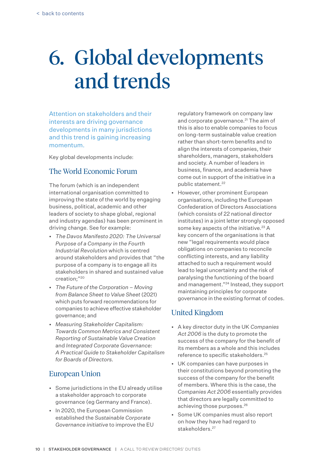### <span id="page-11-0"></span>6. Global developments and trends

Attention on stakeholders and their interests are driving governance developments in many jurisdictions and this trend is gaining increasing momentum.

Key global developments include:

### The World Economic Forum

The forum (which is an independent international organisation committed to improving the state of the world by engaging business, political, academic and other leaders of society to shape global, regional and industry agendas) has been prominent in driving change. See for example:

- • *The Davos Manifesto 2020: The Universal Purpose of a Company in the Fourth Industrial Revolution* which is centred around stakeholders and provides that "the purpose of a company is to engage all its stakeholders in shared and sustained value creation;"20
- • *The future of the corporation moving from balance sheet to value sheet* (2021) which puts forward recommendations for companies to achieve effective stakeholder governance; and
- • *Measuring Stakeholder Capitalism: Towards Common Metrics and Consistent Reporting of Sustainable Value Creation* and *Integrated Corporate Governance: A Practical Guide to Stakeholder Capitalism for Boards of Directors.*

### European Union

- • Some jurisdictions in the EU already utilise a stakeholder approach to corporate governance (eg Germany and France).
- In 2020, the European Commission established the *Sustainable Corporate Governance initiative* to improve the EU

regulatory framework on company law and corporate governance.<sup>21</sup> The aim of this is also to enable companies to focus on long-term sustainable value creation rather than short-term benefits and to align the interests of companies, their shareholders, managers, stakeholders and society. A number of leaders in business, finance, and academia have come out in support of the initiative in a public statement.22

• However, other prominent European organisations, including the European Confederation of Directors Associations (which consists of 22 national director institutes) in a joint letter strongly opposed some key aspects of the initiative.<sup>23</sup> A key concern of the organisations is that new "legal requirements would place obligations on companies to reconcile conflicting interests, and any liability attached to such a requirement would lead to legal uncertainty and the risk of paralysing the functioning of the board and management."24 Instead, they support maintaining principles for corporate governance in the existing format of codes.

### United Kingdom

- • A key director duty in the UK *Companies Act 2006* is the duty to promote the success of the company for the benefit of its members as a whole and this includes reference to specific stakeholders.25
- • UK companies can have purposes in their constitutions beyond promoting the success of the company for the benefit of members. Where this is the case, the *Companies Act 2006* essentially provides that directors are legally committed to achieving those purposes.26
- • Some UK companies must also report on how they have had regard to stakeholders.<sup>27</sup>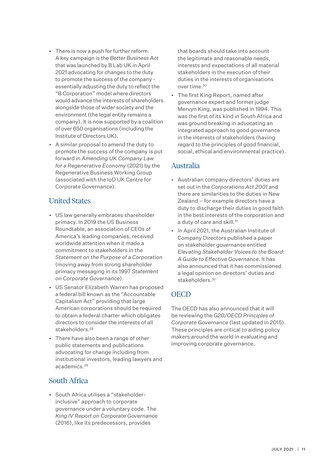- There is now a push for further reform. A key campaign is the *Better Business Act* that was launched by B Lab UK in April 2021 advocating for changes to the duty to promote the success of the company essentially adjusting the duty to reflect the "B Corporation" model where directors would advance the interests of shareholders alongside those of wider society and the environment (the legal entity remains a company). It is now supported by a coalition of over 650 organisations (including the Institute of Directors UK).
- • A similar proposal to amend the duty to promote the success of the company is put forward in *Amending UK Company Law for a Regenerative Economy* (2021) by the Regenerative Business Working Group (associated with the IoD UK Centre for Corporate Governance).

### United States

- • US law generally embraces shareholder primacy. In 2019 the US Business Roundtable, an association of CEOs of America's leading companies, received worldwide attention when it made a commitment to stakeholders in the *Statement on the Purpose of a Corporation* (moving away from strong shareholder primacy messaging in its 1997 *Statement on Corporate Governance*).
- • US Senator Elizabeth Warren has proposed a federal bill known as the "Accountable Capitalism Act" providing that large American corporations should be required to obtain a federal charter which obligates directors to consider the interests of all stakeholders.<sup>28</sup>
- There have also been a range of other public statements and publications advocating for change including from institutional investors, leading lawyers and academics.29

### South Africa

• South Africa utilises a "stakeholderinclusive" approach to corporate governance under a voluntary code. The *King IV Report on Corporate Governance* (2016), like its predecessors, provides

that boards should take into account the legitimate and reasonable needs, interests and expectations of all material stakeholders in the execution of their duties in the interests of organisations over time.30

• The first King Report, named after governance expert and former judge Mervyn King, was published in 1994. This was the first of its kind in South Africa and was ground breaking in advocating an integrated approach to good governance in the interests of stakeholders (having regard to the principles of good financial, social, ethical and environmental practice).

### Australia

- • Australian company directors' duties are set out in the *Corporations Act 2001* and there are similarities to the duties in New Zealand – for example directors have a duty to discharge their duties in good faith in the best interests of the corporation and a duty of care and skill.<sup>31</sup>
- • In April 2021, the Australian Institute of Company Directors published a paper on stakeholder governance entitled *Elevating Stakeholder Voices to the Board: A Guide to Effective Governance*. It has also announced that it has commissioned a legal opinion on directors' duties and stakeholders.<sup>32</sup>

### **OECD**

The OECD has also announced that it will be reviewing the *G20/OECD Principles of Corporate Governance* (last updated in 2015). These principles are critical to aiding policy makers around the world in evaluating and improving corporate governance.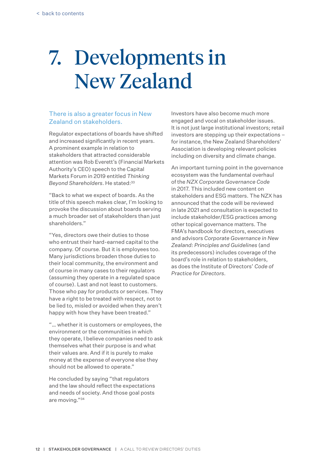### <span id="page-13-0"></span>7. Developments in New Zealand

#### There is also a greater focus in New Zealand on stakeholders.

Regulator expectations of boards have shifted and increased significantly in recent years. A prominent example in relation to stakeholders that attracted considerable attention was Rob Everett's (Financial Markets Authority's CEO) speech to the Capital Markets Forum in 2019 entitled *Thinking Beyond Shareholders*. He stated:33

"Back to what we expect of boards. As the title of this speech makes clear, I'm looking to provoke the discussion about boards serving a much broader set of stakeholders than just shareholders."

"Yes, directors owe their duties to those who entrust their hard-earned capital to the company. Of course. But it is employees too. Many jurisdictions broaden those duties to their local community, the environment and of course in many cases to their regulators (assuming they operate in a regulated space of course). Last and not least to customers. Those who pay for products or services. They have a right to be treated with respect, not to be lied to, misled or avoided when they aren't happy with how they have been treated."

"… whether it is customers or employees, the environment or the communities in which they operate, I believe companies need to ask themselves what their purpose is and what their values are. And if it is purely to make money at the expense of everyone else they should not be allowed to operate."

He concluded by saying "that regulators and the law should reflect the expectations and needs of society. And those goal posts are moving."34

Investors have also become much more engaged and vocal on stakeholder issues. It is not just large institutional investors; retail investors are stepping up their expectations – for instance, the New Zealand Shareholders' Association is developing relevant policies including on diversity and climate change.

An important turning point in the governance ecosystem was the fundamental overhaul of the *NZX Corporate Governance Code* in 2017. This included new content on stakeholders and ESG matters. The NZX has announced that the code will be reviewed in late 2021 and consultation is expected to include stakeholder/ESG practices among other topical governance matters. The FMA's handbook for directors, executives and advisors *Corporate Governance in New Zealand: Principles and Guidelines* (and its predecessors) includes coverage of the board's role in relation to stakeholders, as does the Institute of Directors' *Code of Practice for Directors*.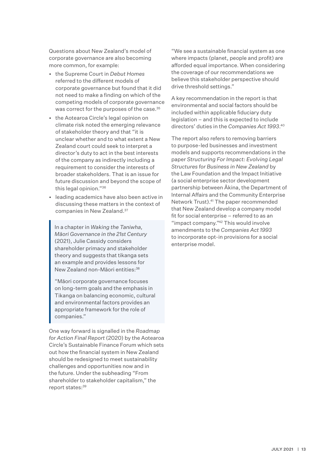Questions about New Zealand's model of corporate governance are also becoming more common, for example:

- • the Supreme Court in *Debut Homes* referred to the different models of corporate governance but found that it did not need to make a finding on which of the competing models of corporate governance was correct for the purposes of the case.<sup>35</sup>
- • the Aotearoa Circle's legal opinion on climate risk noted the emerging relevance of stakeholder theory and that "it is unclear whether and to what extent a New Zealand court could seek to interpret a director's duty to act in the best interests of the company as indirectly including a requirement to consider the interests of broader stakeholders. That is an issue for future discussion and beyond the scope of this legal opinion."36
- • leading academics have also been active in discussing these matters in the context of companies in New Zealand.37

In a chapter in *Waking the Taniwha, Māori Governance in the 21st Century*  (2021), Julie Cassidy considers shareholder primacy and stakeholder theory and suggests that tikanga sets an example and provides lessons for New Zealand non-Māori entities:<sup>38</sup>

"Māori corporate governance focuses on long-term goals and the emphasis in Tikanga on balancing economic, cultural and environmental factors provides an appropriate framework for the role of companies."

One way forward is signalled in the *Roadmap for Action Final Report* (2020) by the Aotearoa Circle's Sustainable Finance Forum which sets out how the financial system in New Zealand should be redesigned to meet sustainability challenges and opportunities now and in the future. Under the subheading "From shareholder to stakeholder capitalism," the report states:<sup>39</sup>

"We see a sustainable financial system as one where impacts (planet, people and profit) are afforded equal importance. When considering the coverage of our recommendations we believe this stakeholder perspective should drive threshold settings."

A key recommendation in the report is that environmental and social factors should be included within applicable fiduciary duty legislation – and this is expected to include directors' duties in the *Companies Act 1993*. 40

The report also refers to removing barriers to purpose-led businesses and investment models and supports recommendations in the paper *Structuring For Impact: Evolving Legal Structures for Business in New Zealand* by the Law Foundation and the Impact Initiative (a social enterprise sector development partnership between Ākina, the Department of Internal Affairs and the Community Enterprise Network Trust).41 The paper recommended that New Zealand develop a company model fit for social enterprise – referred to as an "impact company."42 This would involve amendments to the *Companies Act 1993* to incorporate opt-in provisions for a social enterprise model.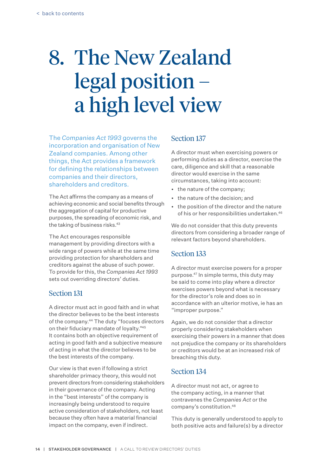## <span id="page-15-0"></span>8. The New Zealand legal position – a high level view

The *Companies Act 1993* governs the incorporation and organisation of New Zealand companies. Among other things, the Act provides a framework for defining the relationships between companies and their directors, shareholders and creditors.

The Act affirms the company as a means of achieving economic and social benefits through the aggregation of capital for productive purposes, the spreading of economic risk, and the taking of business risks.<sup>43</sup>

The Act encourages responsible management by providing directors with a wide range of powers while at the same time providing protection for shareholders and creditors against the abuse of such power. To provide for this, the *Companies Act 1993* sets out overriding directors' duties.

### Section 131

A director must act in good faith and in what the director believes to be the best interests of the company.<sup>44</sup> The duty "focuses directors on their fiduciary mandate of loyalty."45 It contains both an objective requirement of acting in good faith and a subjective measure of acting in what the director believes to be the best interests of the company.

Our view is that even if following a strict shareholder primacy theory, this would not prevent directors from considering stakeholders in their governance of the company. Acting in the "best interests" of the company is increasingly being understood to require active consideration of stakeholders, not least because they often have a material financial impact on the company, even if indirect.

### Section 137

A director must when exercising powers or performing duties as a director, exercise the care, diligence and skill that a reasonable director would exercise in the same circumstances, taking into account:

- the nature of the company;
- • the nature of the decision; and
- • the position of the director and the nature of his or her responsibilities undertaken.46

We do not consider that this duty prevents directors from considering a broader range of relevant factors beyond shareholders.

### Section 133

A director must exercise powers for a proper purpose.47 In simple terms, this duty may be said to come into play where a director exercises powers beyond what is necessary for the director's role and does so in accordance with an ulterior motive, ie has an "improper purpose."

Again, we do not consider that a director properly considering stakeholders when exercising their powers in a manner that does not prejudice the company or its shareholders or creditors would be at an increased risk of breaching this duty.

### Section 134

A director must not act, or agree to the company acting, in a manner that contravenes the *Companies Act* or the company's constitution.48

This duty is generally understood to apply to both positive acts and failure(s) by a director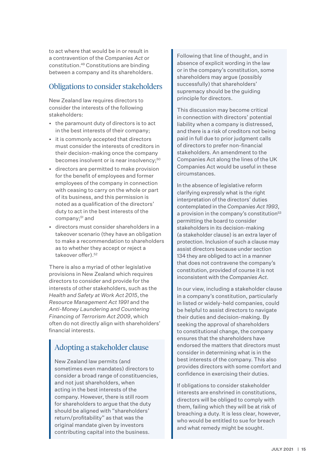to act where that would be in or result in a contravention of the *Companies Act* or constitution.49 Constitutions are binding between a company and its shareholders.

### Obligations to consider stakeholders

New Zealand law requires directors to consider the interests of the following stakeholders:

- • the paramount duty of directors is to act in the best interests of their company;
- • it is commonly accepted that directors must consider the interests of creditors in their decision-making once the company becomes insolvent or is near insolvency;<sup>50</sup>
- • directors are permitted to make provision for the benefit of employees and former employees of the company in connection with ceasing to carry on the whole or part of its business, and this permission is noted as a qualification of the directors' duty to act in the best interests of the company;<sup>51</sup> and
- • directors must consider shareholders in a takeover scenario (they have an obligation to make a recommendation to shareholders as to whether they accept or reject a takeover offer).52

There is also a myriad of other legislative provisions in New Zealand which requires directors to consider and provide for the interests of other stakeholders, such as the *Health and Safety at Work Act 2015*, the *Resource Management Act 1991* and the *Anti-Money Laundering and Countering Financing of Terrorism Act 2009*, which often do not directly align with shareholders' financial interests.

### Adopting a stakeholder clause

New Zealand law permits (and sometimes even mandates) directors to consider a broad range of constituencies, and not just shareholders, when acting in the best interests of the company. However, there is still room for shareholders to argue that the duty should be aligned with "shareholders' return/profitability" as that was the original mandate given by investors contributing capital into the business.

Following that line of thought, and in absence of explicit wording in the law or in the company's constitution, some shareholders may argue (possibly successfully) that shareholders' supremacy should be the guiding principle for directors.

This discussion may become critical in connection with directors' potential liability when a company is distressed, and there is a risk of creditors not being paid in full due to prior judgment calls of directors to prefer non-financial stakeholders. An amendment to the Companies Act along the lines of the UK Companies Act would be useful in these circumstances.

In the absence of legislative reform clarifying expressly what is the right interpretation of the directors' duties contemplated in the *Companies Act 1993*, a provision in the company's constitution<sup>53</sup> permitting the board to consider stakeholders in its decision-making (a stakeholder clause) is an extra layer of protection. Inclusion of such a clause may assist directors because under section 134 they are obliged to act in a manner that does not contravene the company's constitution, provided of course it is not inconsistent with the *Companies Act*.

In our view, including a stakeholder clause in a company's constitution, particularly in listed or widely-held companies, could be helpful to assist directors to navigate their duties and decision-making. By seeking the approval of shareholders to constitutional change, the company ensures that the shareholders have endorsed the matters that directors must consider in determining what is in the best interests of the company. This also provides directors with some comfort and confidence in exercising their duties.

If obligations to consider stakeholder interests are enshrined in constitutions, directors will be obliged to comply with them, failing which they will be at risk of breaching a duty. It is less clear, however, who would be entitled to sue for breach and what remedy might be sought.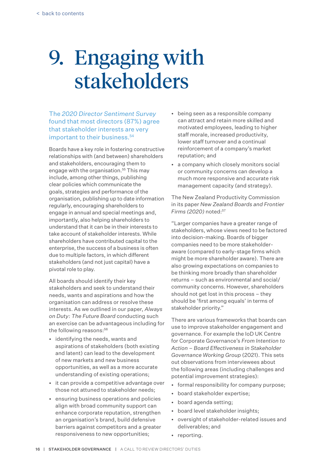### <span id="page-17-0"></span>9. Engaging with stakeholders

The *2020 Director Sentiment Survey* found that most directors (87%) agree that stakeholder interests are very important to their business.<sup>54</sup>

Boards have a key role in fostering constructive relationships with (and between) shareholders and stakeholders, encouraging them to engage with the organisation.<sup>55</sup> This may include, among other things, publishing clear policies which communicate the goals, strategies and performance of the organisation, publishing up to date information regularly, encouraging shareholders to engage in annual and special meetings and, importantly, also helping shareholders to understand that it can be in their interests to take account of stakeholder interests. While shareholders have contributed capital to the enterprise, the success of a business is often due to multiple factors, in which different stakeholders (and not just capital) have a pivotal role to play.

All boards should identify their key stakeholders and seek to understand their needs, wants and aspirations and how the organisation can address or resolve these interests. As we outlined in our paper, *Always on Duty: The Future Board* conducting such an exercise can be advantageous including for the following reasons:<sup>56</sup>

- • identifying the needs, wants and aspirations of stakeholders (both existing and latent) can lead to the development of new markets and new business opportunities, as well as a more accurate understanding of existing operations;
- it can provide a competitive advantage over those not attuned to stakeholder needs;
- • ensuring business operations and policies align with broad community support can enhance corporate reputation, strengthen an organisation's brand, build defensive barriers against competitors and a greater responsiveness to new opportunities;
- • being seen as a responsible company can attract and retain more skilled and motivated employees, leading to higher staff morale, increased productivity, lower staff turnover and a continual reinforcement of a company's market reputation; and
- • a company which closely monitors social or community concerns can develop a much more responsive and accurate risk management capacity (and strategy).

The New Zealand Productivity Commission in its paper *New Zealand Boards and Frontier Firms (2020)* noted:<sup>57</sup>

"Larger companies have a greater range of stakeholders, whose views need to be factored into decision-making. Boards of bigger companies need to be more stakeholderaware (compared to early-stage firms which might be more shareholder aware). There are also growing expectations on companies to be thinking more broadly than shareholder returns – such as environmental and social/ community concerns. However, shareholders should not get lost in this process – they should be 'first among equals' in terms of stakeholder priority."

There are various frameworks that boards can use to improve stakeholder engagement and governance. For example the IoD UK Centre for Corporate Governance's *From Intention to Action – Board Effectiveness in Stakeholder Governance Working Group* (2021). This sets out observations from interviewees about the following areas (including challenges and potential improvement strategies):

- formal responsibility for company purpose;
- board stakeholder expertise;
- board agenda setting:
- board level stakeholder insights;
- • oversight of stakeholder-related issues and deliverables; and
- reporting.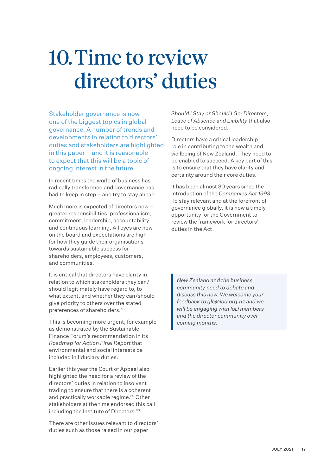### <span id="page-18-0"></span>10. Time to review directors' duties

Stakeholder governance is now one of the biggest topics in global governance. A number of trends and developments in relation to directors' duties and stakeholders are highlighted in this paper – and it is reasonable to expect that this will be a topic of ongoing interest in the future.

In recent times the world of business has radically transformed and governance has had to keep in step – and try to stay ahead.

Much more is expected of directors now – greater responsibilities, professionalism, commitment, leadership, accountability and continuous learning. All eyes are now on the board and expectations are high for how they guide their organisations towards sustainable success for shareholders, employees, customers, and communities.

It is critical that directors have clarity in relation to which stakeholders they can/ should legitimately have regard to, to what extent, and whether they can/should give priority to others over the stated preferences of shareholders.58

This is becoming more urgent, for example as demonstrated by the Sustainable Finance Forum's recommendation in its *Roadmap for Action Final Report* that environmental and social interests be included in fiduciary duties.

Earlier this year the Court of Appeal also highlighted the need for a review of the directors' duties in relation to insolvent trading to ensure that there is a coherent and practically workable regime.<sup>59</sup> Other stakeholders at the time endorsed this call including the Institute of Directors.<sup>60</sup>

There are other issues relevant to directors' duties such as those raised in our paper

*Should I Stay or Should I Go: Directors, Leave of Absence and Liability* that also need to be considered.

Directors have a critical leadership role in contributing to the wealth and wellbeing of New Zealand. They need to be enabled to succeed. A key part of this is to ensure that they have clarity and certainty around their core duties.

It has been almost 30 years since the introduction of the *Companies Act 1993*. To stay relevant and at the forefront of governance globally, it is now a timely opportunity for the Government to review the framework for directors' duties in the Act.

*New Zealand and the business community need to debate and discuss this now. We welcome your feedback to glc@iod.org.nz and we will be engaging with IoD members and the director community over coming months.*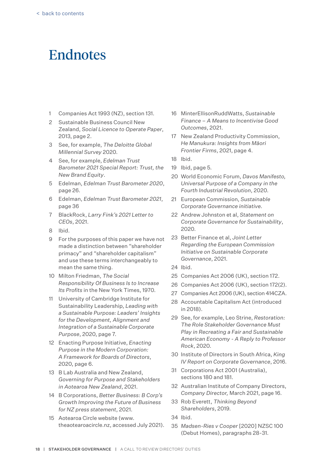### <span id="page-19-0"></span>**Endnotes**

- 1 Companies Act 1993 (NZ), section 131.
- 2 Sustainable Business Council New Zealand, *Social Licence to Operate Paper*, 2013, page 2.
- 3 See, for example, *The Deloitte Global Millennial Survey* 2020.
- 4 See, for example, *Edelman Trust Barometer 2021 Special Report: Trust, the New Brand Equity*.
- 5 Edelman, *Edelman Trust Barometer 2020*, page 26.
- 6 Edelman, *Edelman Trust Barometer 2021*, page 36
- 7 BlackRock, *Larry Fink's 2021 Letter to CEOs*, 2021.
- 8 Ibid.
- 9 For the purposes of this paper we have not made a distinction between "shareholder primacy" and "shareholder capitalism" and use these terms interchangeably to mean the same thing.
- 10 Milton Friedman, *The Social Responsibility Of Business Is to Increase Its Profits* in the New York Times, 1970.
- 11 University of Cambridge Institute for Sustainability Leadership, *Leading with a Sustainable Purpose: Leaders' Insights for the Development, Alignment and Integration of a Sustainable Corporate Purpose*, 2020, page 7.
- 12 Enacting Purpose Initiative, *Enacting Purpose in the Modern Corporation: A Framework for Boards of Directors*, 2020, page 6.
- 13 B Lab Australia and New Zealand, *Governing for Purpose and Stakeholders in Aotearoa New Zealand*, 2021.
- 14 B Corporations, *Better Business: B Corp's Growth Improving the Future of Business for NZ press statement*, 2021.
- 15 Aotearoa Circle website (www. theaotearoacircle.nz, accessed July 2021).
- 16 MinterEllisonRuddWatts, *Sustainable finance – a means to incentivise good outcomes*, 2021.
- 17 New Zealand Productivity Commission, *He Manukura: Insights from Māori Frontier Firms*, 2021, page 4.
- 18 Ibid.
- 19 Ibid, page 5.
- 20 World Economic Forum, *Davos Manifesto, Universal Purpose of a Company in the Fourth Industrial Revolution*, 2020.
- 21 European Commission, *Sustainable Corporate Governance initiative.*
- 22 Andrew Johnston et al, *Statement on Corporate Governance for Sustainability*, 2020.
- 23 Better Finance et al, *Joint Letter Regarding the European Commission Initiative on Sustainable Corporate Governance*, 2021.
- 24 Ibid.
- 25 Companies Act 2006 (UK), section 172.
- 26 Companies Act 2006 (UK), section 172(2).
- 27 Companies Act 2006 (UK), section 414CZA.
- 28 Accountable Capitalism Act (introduced in 2018).
- 29 See, for example, Leo Strine, *Restoration: The Role Stakeholder Governance Must Play in Recreating a Fair and Sustainable American Economy - A Reply to Professor Rock*, 2020.
- 30 Institute of Directors in South Africa, *King IV Report on Corporate Governance*, 2016.
- 31 Corporations Act 2001 (Australia), sections 180 and 181.
- 32 Australian Institute of Company Directors, *Company Director,* March 2021, page 16.
- 33 Rob Everett, *Thinking Beyond Shareholders*, 2019.
- 34 Ibid.
- 35 *Madsen-Ries v Cooper* [2020] NZSC 100 (Debut Homes), paragraphs 28-31.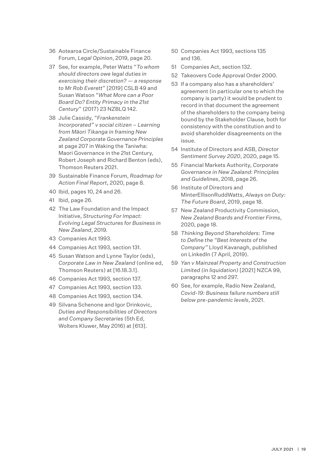- 36 Aotearoa Circle/Sustainable Finance Forum, *Legal Opinion*, 2019, page 20.
- 37 See, for example, Peter Watts "*To whom should directors owe legal duties in exercising their discretion? — a response to Mr Rob Everett*" [2019] CSLB 49 and Susan Watson "*What More can a Poor Board Do? Entity Primacy in the 21st Century*" (2017) 23 NZBLQ 142.
- 38 Julie Cassidy, "*Frankenstein Incorporated" v social citizen – Learning from Māori Tikanga in framing New Zealand Corporate Governance Principles*  at page 207 in Waking the Taniwha: Maori Governance in the 21st Century, Robert Joseph and Richard Benton (eds), Thomson Reuters 2021.
- 39 Sustainable Finance Forum, *Roadmap for Action Final Report*, 2020, page 8.
- 40 Ibid, pages 10, 24 and 26.
- 41 Ibid, page 26.
- 42 The Law Foundation and the Impact Initiative, *Structuring For Impact: Evolving Legal Structures for Business in New Zealand*, 2019.
- 43 Companies Act 1993.
- 44 Companies Act 1993, section 131.
- 45 Susan Watson and Lynne Taylor (eds), *Corporate Law in New Zealand* (online ed, Thomson Reuters) at [16.18.3.1].
- 46 Companies Act 1993, section 137.
- 47 Companies Act 1993, section 133.
- 48 Companies Act 1993, section 134.
- 49 Silvana Schenone and Igor Drinkovic, *Duties and Responsibilities of Directors and Company Secretaries* (5th Ed, Wolters Kluwer, May 2016) at [613].
- 50 Companies Act 1993, sections 135 and 136.
- 51 Companies Act, section 132.
- 52 Takeovers Code Approval Order 2000.
- 53 If a company also has a shareholders' agreement (in particular one to which the company is party) it would be prudent to record in that document the agreement of the shareholders to the company being bound by the Stakeholder Clause, both for consistency with the constitution and to avoid shareholder disagreements on the issue.
- 54 Institute of Directors and ASB, *Director Sentiment Survey 2020*, 2020, page 15.
- 55 Financial Markets Authority, *Corporate Governance in New Zealand: Principles and Guidelines*, 2018, page 26.
- 56 Institute of Directors and MinterEllisonRuddWatts, *Always on Duty: The Future Board*, 2019, page 18.
- 57 New Zealand Productivity Commission, *New Zealand Boards and Frontier Firms*, 2020, page 18.
- 58 *Thinking Beyond Shareholders: Time to Define the "Best Interests of the Company"* Lloyd Kavanagh, published on LinkedIn (7 April, 2019).
- 59 *Yan v Mainzeal Property and Construction Limited (in liquidation)* [2021] NZCA 99, paragraphs 12 and 297.
- 60 See, for example, Radio New Zealand, *Covid-19: Business failure numbers still below pre-pandemic levels*, 2021.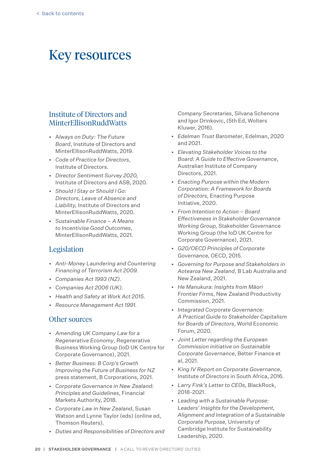### <span id="page-21-0"></span>Key resources

### Institute of Directors and MinterEllisonRuddWatts

- • A*lways on Duty: The Future Board*, Institute of Directors and MinterEllisonRuddWatts, 2019.
- • *Code of Practice for Directors*, Institute of Directors.
- • *Director Sentiment Survey 2020,* Institute of Directors and ASB, 2020.
- • *Should I Stay or Should I Go: Directors, Leave of Absence and Liability,* Institute of Directors and MinterEllisonRuddWatts, 2020.
- • *Sustainable Finance A Means to Incentivise Good Outcomes*, MinterEllisonRuddWatts, 2021.

### Legislation

- *• Anti-Money Laundering and Countering Financing of Terrorism Act 2009.*
- *• Companies Act 1993 (NZ).*
- *• Companies Act 2006 (UK).*
- *• Health and Safety at Work Act 2015.*
- *• Resource Management Act 1991.*

#### Other sources

- • *Amending UK Company Law for a Regenerative Economy*, Regenerative Business Working Group (IoD UK Centre for Corporate Governance), 2021.
- • *Better Business: B Corp's Growth Improving the Future of Business for NZ*  press statement, B Corporations, 2021.
- • C*orporate Governance in New Zealand: Principles and Guidelines*, Financial Markets Authority, 2018.
- • *Corporate Law in New Zealand*, Susan Watson and Lynne Taylor (eds) (online ed, Thomson Reuters).
- • *Duties and Responsibilities of Directors and*

*Company Secretaries*, Silvana Schenone and Igor Drinkovic, (5th Ed, Wolters Kluwer, 2016).

- • *Edelman Trust Barometer*, Edelman, 2020 and 2021.
- • *Elevating Stakeholder Voices to the Board: A Guide to Effective Governance*, Australian Institute of Company Directors, 2021.
- • *Enacting Purpose within the Modern Corporation: A Framework for Boards of Directors,* Enacting Purpose Initiative, 2020.
- • *From Intention to Action Board Effectiveness in Stakeholder Governance Working Group,* Stakeholder Governance Working Group (the IoD UK Centre for Corporate Governance), 2021.
- • *G20/OECD Principles of Corporate Governance,* OECD, 2015.
- • *Governing for Purpose and Stakeholders in Aotearoa New Zealand*, B Lab Australia and New Zealand, 2021.
- • *He Manukura: Insights from Māori Frontier Firms*, New Zealand Productivity Commission, 2021.
- • *Integrated Corporate Governance: A Practical Guide to Stakeholder Capitalism for Boards of Directors*, World Economic Forum, 2020.
- • *Joint Letter regarding the European Commission initiative on Sustainable Corporate Governance*, Better Finance et al, 2021.
- • *King IV Report on Corporate Governance*, Institute of Directors in South Africa, 2016.
- • *Larry Fink's Letter to CEOs,* BlackRock, 2018-2021.
- • *Leading with a sustainable Purpose: Leaders' Insights for the Development, Alignment and Integration of a Sustainable Corporate Purpose,* University of Cambridge Institute for Sustainability Leadership, 2020.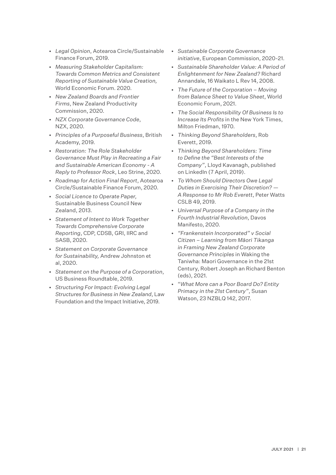- • *Legal Opinion*, Aotearoa Circle/Sustainable Finance Forum, 2019.
- • *Measuring Stakeholder Capitalism: Towards Common Metrics and Consistent Reporting of Sustainable Value Creation,*  World Economic Forum. 2020.
- • *New Zealand Boards and Frontier Firms*, New Zealand Productivity Commission, 2020.
- • *NZX Corporate Governance Code*, NZX, 2020.
- • *Principles of a Purposeful Business*, British Academy, 2019.
- • *Restoration: The Role Stakeholder Governance Must Play in Recreating a Fair and Sustainable American Economy - A Reply to Professor Rock*, Leo Strine, 2020.
- • *Roadmap for Action Final Report*, Aotearoa Circle/Sustainable Finance Forum, 2020.
- • *Social Licence to Operate Paper,* Sustainable Business Council New Zealand, 2013.
- • *Statement of Intent to Work Together Towards Comprehensive Corporate Reporting*, CDP, CDSB, GRI, IIRC and SASB, 2020.
- • *Statement on Corporate Governance for Sustainability,* Andrew Johnston et al, 2020.
- • *Statement on the Purpose of a Corporation*, US Business Roundtable, 2019.
- • *Structuring For Impact: Evolving Legal Structures for Business in New Zealand*, Law Foundation and the Impact Initiative, 2019.
- • *Sustainable Corporate Governance initiative*, European Commission, 2020-21.
- • *Sustainable Shareholder Value: A Period of Enlightenment for New Zealand?* Richard Annandale, 16 Waikato L Rev 14, 2008.
- • *The Future of the Corporation Moving from Balance Sheet to Value Sheet*, World Economic Forum, 2021.
- • *The Social Responsibility Of Business Is to Increase Its Profits* in the New York Times, Milton Friedman, 1970.
- • *Thinking Beyond Shareholders*, Rob Everett, 2019.
- • *Thinking Beyond Shareholders: Time to Define the "Best Interests of the Company"*, Lloyd Kavanagh, published on LinkedIn (7 April, 2019).
- • *To Whom Should Directors Owe Legal Duties in Exercising Their Discretion? — A Response to Mr Rob Everett*, Peter Watts CSLB 49, 2019.
- • *Universal Purpose of a Company in the Fourth Industrial Revolution*, Davos Manifesto, 2020.
- • *"Frankenstein Incorporated" v Social Citizen – Learning from Māori Tikanga in Framing New Zealand Corporate Governance Principles* in Waking the Taniwha: Maori Governance in the 21st Century, Robert Joseph an Richard Benton (eds), 2021.
- • "*What More can a Poor Board Do? Entity Primacy in the 21st Century"*, Susan Watson, 23 NZBLQ 142, 2017.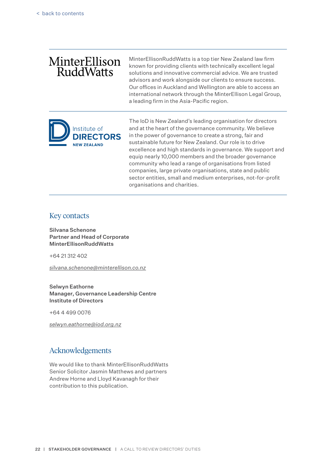### MinterEllison **RuddWatts**

MinterEllisonRuddWatts is a top tier New Zealand law firm known for providing clients with technically excellent legal solutions and innovative commercial advice. We are trusted advisors and work alongside our clients to ensure success. Our offices in Auckland and Wellington are able to access an international network through the MinterEllison Legal Group, a leading firm in the Asia-Pacific region.



The IoD is New Zealand's leading organisation for directors and at the heart of the governance community. We believe in the power of governance to create a strong, fair and sustainable future for New Zealand. Our role is to drive excellence and high standards in governance. We support and equip nearly 10,000 members and the broader governance community who lead a range of organisations from listed companies, large private organisations, state and public sector entities, small and medium enterprises, not-for-profit organisations and charities.

#### Key contacts

Silvana Schenone Partner and Head of Corporate MinterEllisonRuddWatts

+64 21 312 402

*silvana.schenone@minterellison.co.nz*

#### Selwyn Eathorne Manager, Governance Leadership Centre Institute of Directors

+64 4 499 0076

*selwyn.eathorne@iod.org.nz*

#### Acknowledgements

We would like to thank MinterEllisonRuddWatts Senior Solicitor Jasmin Matthews and partners Andrew Horne and Lloyd Kavanagh for their contribution to this publication.